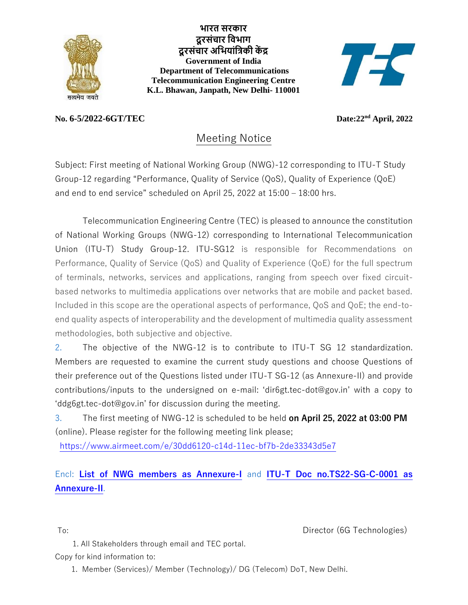

**भारत [सरकार](https://india.gov.in/hi/) [दूरसंचार](https://dot.gov.in/) विभाग दूरसंचार अवभयांविकी कें द्र [Government of India](https://india.gov.in/) [Department of Telecommunications](https://dot.gov.in/) Telecommunication Engineering Centre K.L. Bhawan, Janpath, New Delhi- 110001**



## $No. 6-5/2022-6GT/TEC$

Date: 22<sup>nd</sup> April, 2022

## Meeting Notice

Subject: First meeting of National Working Group (NWG)-12 corresponding to ITU-T Study Group-12 regarding "Performance, Quality of Service (QoS), Quality of Experience (QoE) and end to end service" scheduled on April 25, 2022 at 15:00 – 18:00 hrs.

Telecommunication Engineering Centre (TEC) is pleased to announce the constitution of National Working Groups (NWG-12) corresponding to International Telecommunication Union (ITU-T) Study Group-12. ITU-SG12 is responsible for Recommendations on Performance, Quality of Service (QoS) and Quality of Experience (QoE) for the full spectrum of terminals, networks, services and applications, ranging from speech over fixed circuitbased networks to multimedia applications over networks that are mobile and packet based. Included in this scope are the operational aspects of performance, QoS and QoE; the end-toend quality aspects of interoperability and the development of multimedia quality assessment methodologies, both subjective and objective.

2. The objective of the NWG-12 is to contribute to ITU-T SG 12 standardization. Members are requested to examine the current study questions and choose Questions of their preference out of the Questions listed under ITU-T SG-12 (as Annexure-II) and provide contributions/inputs to the undersigned on e-mail: 'dir6gt.tec-dot@gov.in' with a copy to 'ddg6gt.tec-dot@gov.in' for discussion during the meeting.

3. The first meeting of NWG-12 is scheduled to be held **on April 25, 2022 at 03:00 PM** (online). Please register for the following meeting link please;

<https://www.airmeet.com/e/30dd6120-c14d-11ec-bf7b-2de33343d5e7>

## Encl: **[List of NWG members as Annexure-I](/pdf/NWG/NWG12%20Members.pdf)** and **[ITU-T Doc no.TS22-SG-C-0001 as](tec.gov.in/pdf/NWG/T22-SG12-C-0001%20as%20annexure-II.pdf)  [Annexure-II](tec.gov.in/pdf/NWG/T22-SG12-C-0001%20as%20annexure-II.pdf)**.

To: Director (6G Technologies)

1. All Stakeholders through email and TEC portal.

Copy for kind information to:

1. Member (Services)/ Member (Technology)/ DG (Telecom) DoT, New Delhi.